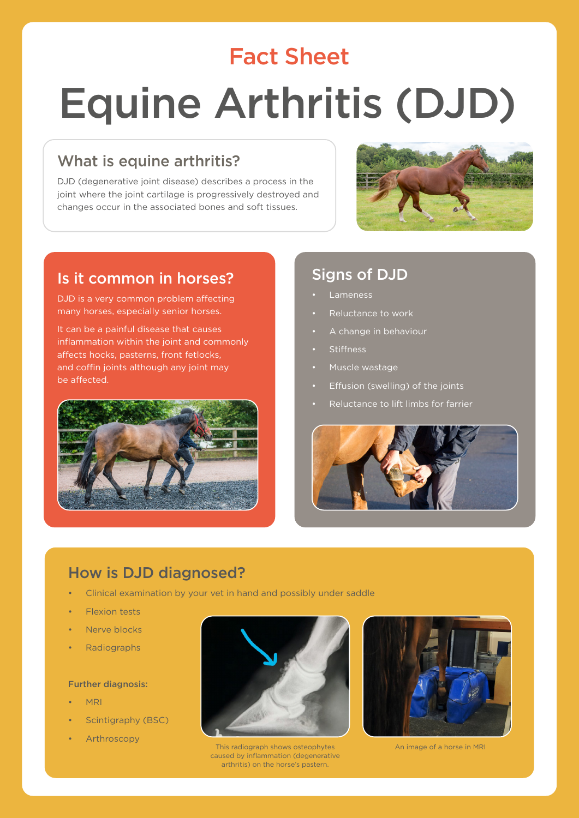# Fact Sheet Equine Arthritis (DJD)

#### What is equine arthritis?

DJD (degenerative joint disease) describes a process in the joint where the joint cartilage is progressively destroyed and changes occur in the associated bones and soft tissues.



#### Is it common in horses?

DJD is a very common problem affecting many horses, especially senior horses.

It can be a painful disease that causes inflammation within the joint and commonly affects hocks, pasterns, front fetlocks, and coffin joints although any joint may be affected.



#### Signs of DJD

- **Lameness**
- Reluctance to work
- A change in behaviour
- **Stiffness**
- Muscle wastage
- Effusion (swelling) of the joints
- Reluctance to lift limbs for farrier



### How is DJD diagnosed?

- Clinical examination by your vet in hand and possibly under saddle
- Flexion tests
- Nerve blocks
- Radiographs

#### Further diagnosis:

- MRI
- Scintigraphy (BSC)
- **Arthroscopy**



This radiograph shows osteophytes caused by inflammation (degenerative arthritis) on the horse's pastern.



An image of a horse in MRI